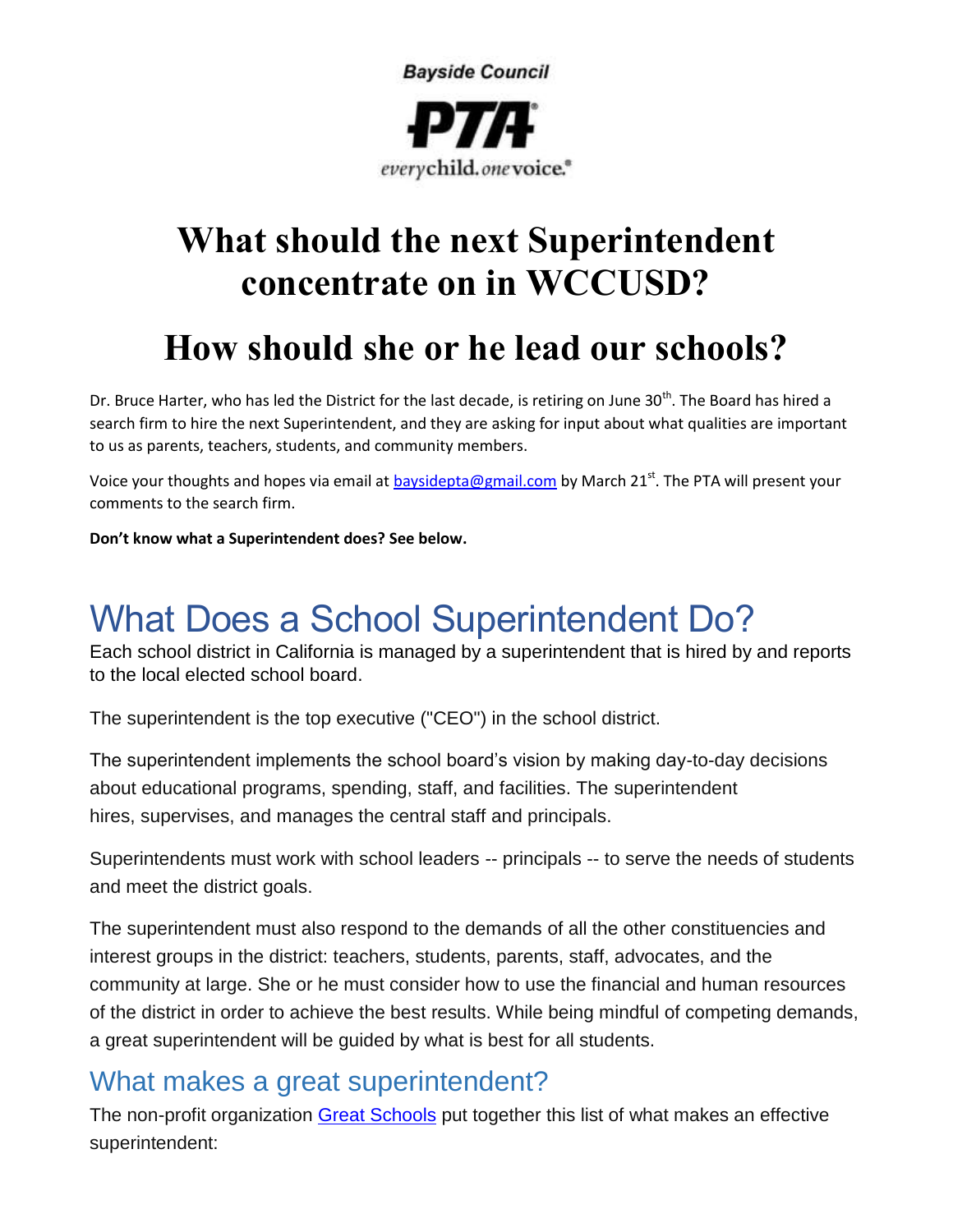

## **What should the next Superintendent concentrate on in WCCUSD?**

## **How should she or he lead our schools?**

Dr. Bruce Harter, who has led the District for the last decade, is retiring on June 30<sup>th</sup>. The Board has hired a search firm to hire the next Superintendent, and they are asking for input about what qualities are important to us as parents, teachers, students, and community members.

Voice your thoughts and hopes via email at [baysidepta@gmail.com](mailto:baysidepta@gmail.com) by March 21<sup>st</sup>. The PTA will present your comments to the search firm.

**Don't know what a Superintendent does? See below.** 

# What Does a School Superintendent Do?

Each school district in California is managed by a superintendent that is hired by and reports to the local elected school board.

The superintendent is the top executive ("CEO") in the school district.

The superintendent implements the school board's vision by making day-to-day decisions about educational programs, spending, staff, and facilities. The superintendent hires, supervises, and manages the central staff and principals.

Superintendents must work with school leaders -- principals -- to serve the needs of students and meet the district goals.

The superintendent must also respond to the demands of all the other constituencies and interest groups in the district: teachers, students, parents, staff, advocates, and the community at large. She or he must consider how to use the financial and human resources of the district in order to achieve the best results. While being mindful of competing demands, a great superintendent will be guided by what is best for all students.

### What makes a great superintendent?

The non-profit organization Great [Schools](http://www.greatschools.org/improvement/quality-teaching/94-what-makes-a-great-superintendent.gs) put together this list of what makes an effective superintendent: